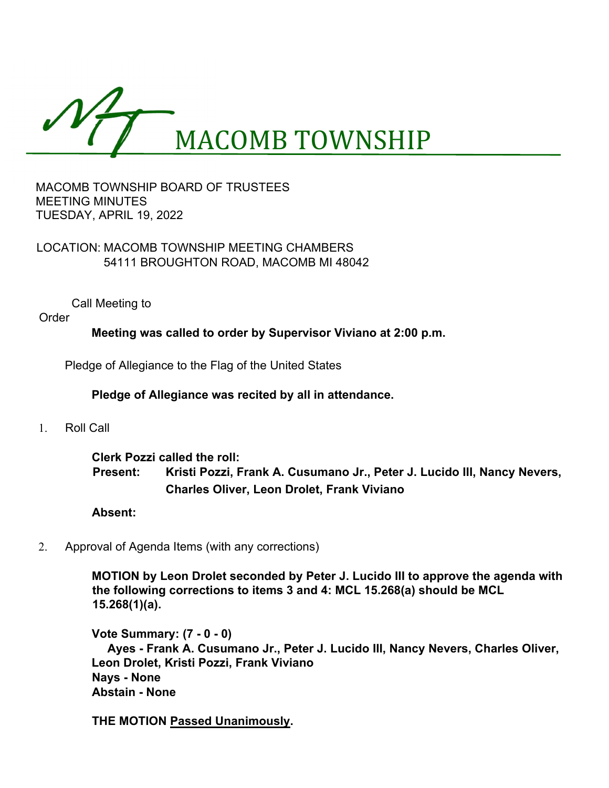

#### MACOMB TOWNSHIP BOARD OF TRUSTEES **MEETING MINUTES** TUESDAY, APRIL 19, 2022

# LOCATION: MACOMB TOWNSHIP MEETING CHAMBERS 54111 BROUGHTON ROAD, MACOMB MI 48042

Call Meeting to

Order

**Meeting was called to order by Supervisor Viviano at 2:00 p.m.**

Pledge of Allegiance to the Flag of the United States

# **Pledge of Allegiance was recited by all in attendance.**

1. Roll Call

**Clerk Pozzi called the roll: Present: Kristi Pozzi, Frank A. Cusumano Jr., Peter J. Lucido III, Nancy Nevers, Charles Oliver, Leon Drolet, Frank Viviano**

#### **Absent:**

2. Approval of Agenda Items (with any corrections)

**MOTION by Leon Drolet seconded by Peter J. Lucido III to approve the agenda with the following corrections to items 3 and 4: MCL 15.268(a) should be MCL 15.268(1)(a).** 

**Vote Summary: (7 - 0 - 0) Ayes - Frank A. Cusumano Jr., Peter J. Lucido III, Nancy Nevers, Charles Oliver, Leon Drolet, Kristi Pozzi, Frank Viviano Nays - None Abstain - None**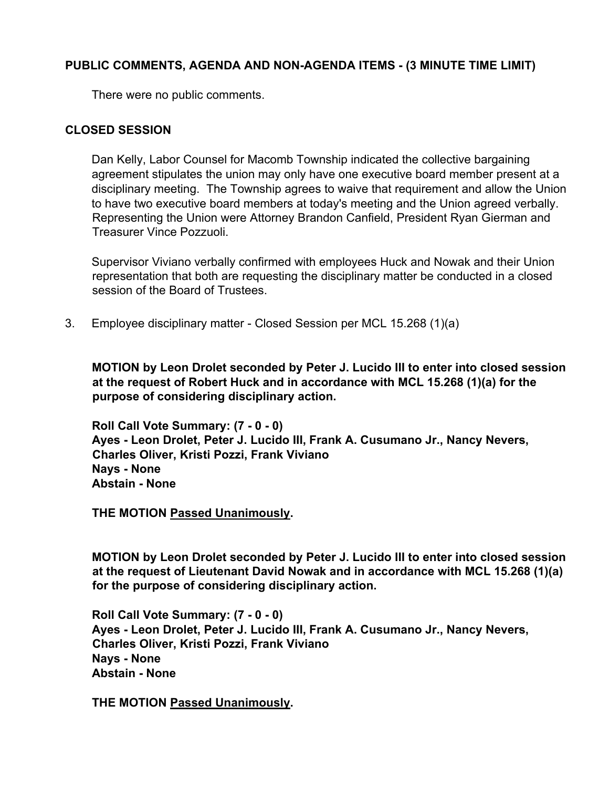# **PUBLIC COMMENTS, AGENDA AND NON-AGENDA ITEMS - (3 MINUTE TIME LIMIT)**

There were no public comments.

### **CLOSED SESSION**

Dan Kelly, Labor Counsel for Macomb Township indicated the collective bargaining agreement stipulates the union may only have one executive board member present at a disciplinary meeting. The Township agrees to waive that requirement and allow the Union to have two executive board members at today's meeting and the Union agreed verbally. Representing the Union were Attorney Brandon Canfield, President Ryan Gierman and Treasurer Vince Pozzuoli.

Supervisor Viviano verbally confirmed with employees Huck and Nowak and their Union representation that both are requesting the disciplinary matter be conducted in a closed session of the Board of Trustees.

3. Employee disciplinary matter - Closed Session per MCL 15.268 (1)(a)

**MOTION by Leon Drolet seconded by Peter J. Lucido III to enter into closed session at the request of Robert Huck and in accordance with MCL 15.268 (1)(a) for the purpose of considering disciplinary action.** 

**Roll Call Vote Summary: (7 - 0 - 0) Ayes - Leon Drolet, Peter J. Lucido III, Frank A. Cusumano Jr., Nancy Nevers, Charles Oliver, Kristi Pozzi, Frank Viviano Nays - None Abstain - None** 

**THE MOTION Passed Unanimously.**

**MOTION by Leon Drolet seconded by Peter J. Lucido III to enter into closed session at the request of Lieutenant David Nowak and in accordance with MCL 15.268 (1)(a) for the purpose of considering disciplinary action.** 

**Roll Call Vote Summary: (7 - 0 - 0) Ayes - Leon Drolet, Peter J. Lucido III, Frank A. Cusumano Jr., Nancy Nevers, Charles Oliver, Kristi Pozzi, Frank Viviano Nays - None Abstain - None**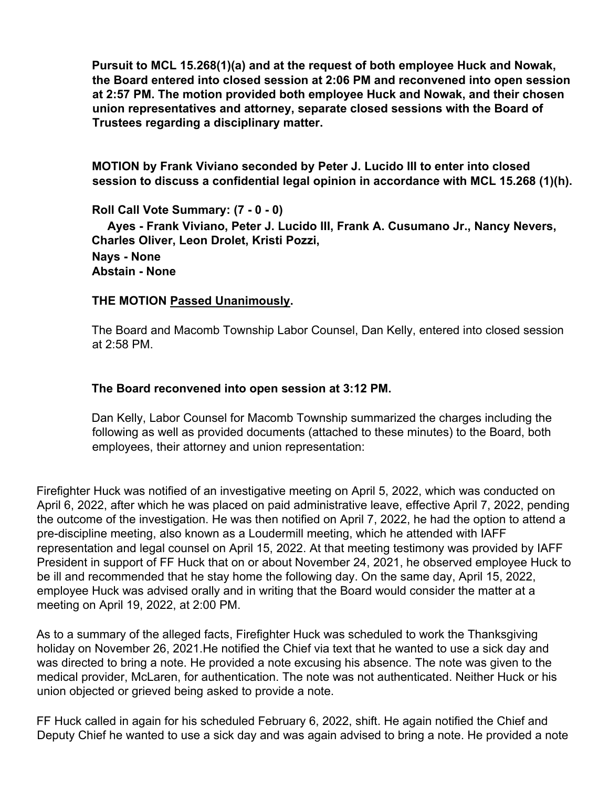**Pursuit to MCL 15.268(1)(a) and at the request of both employee Huck and Nowak, the Board entered into closed session at 2:06 PM and reconvened into open session at 2:57 PM. The motion provided both employee Huck and Nowak, and their chosen union representatives and attorney, separate closed sessions with the Board of Trustees regarding a disciplinary matter.** 

**MOTION by Frank Viviano seconded by Peter J. Lucido III to enter into closed session to discuss a confidential legal opinion in accordance with MCL 15.268 (1)(h).** 

**Roll Call Vote Summary: (7 - 0 - 0) Ayes - Frank Viviano, Peter J. Lucido III, Frank A. Cusumano Jr., Nancy Nevers, Charles Oliver, Leon Drolet, Kristi Pozzi,** 

**Nays - None Abstain - None** 

### **THE MOTION Passed Unanimously.**

The Board and Macomb Township Labor Counsel, Dan Kelly, entered into closed session at 2:58 PM.

### **The Board reconvened into open session at 3:12 PM.**

Dan Kelly, Labor Counsel for Macomb Township summarized the charges including the following as well as provided documents (attached to these minutes) to the Board, both employees, their attorney and union representation:

Firefighter Huck was notified of an investigative meeting on April 5, 2022, which was conducted on April 6, 2022, after which he was placed on paid administrative leave, effective April 7, 2022, pending the outcome of the investigation. He was then notified on April 7, 2022, he had the option to attend a pre-discipline meeting, also known as a Loudermill meeting, which he attended with IAFF representation and legal counsel on April 15, 2022. At that meeting testimony was provided by IAFF President in support of FF Huck that on or about November 24, 2021, he observed employee Huck to be ill and recommended that he stay home the following day. On the same day, April 15, 2022, employee Huck was advised orally and in writing that the Board would consider the matter at a meeting on April 19, 2022, at 2:00 PM.

As to a summary of the alleged facts, Firefighter Huck was scheduled to work the Thanksgiving holiday on November 26, 2021.He notified the Chief via text that he wanted to use a sick day and was directed to bring a note. He provided a note excusing his absence. The note was given to the medical provider, McLaren, for authentication. The note was not authenticated. Neither Huck or his union objected or grieved being asked to provide a note.

FF Huck called in again for his scheduled February 6, 2022, shift. He again notified the Chief and Deputy Chief he wanted to use a sick day and was again advised to bring a note. He provided a note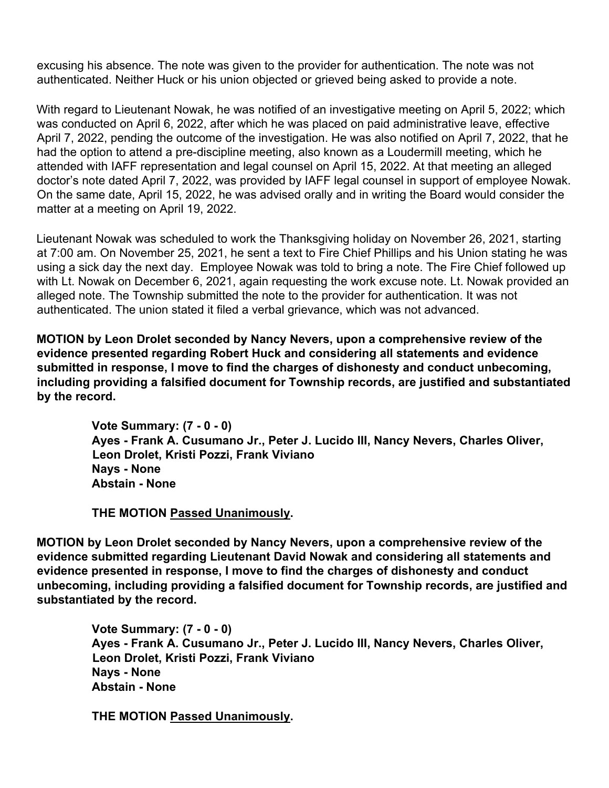excusing his absence. The note was given to the provider for authentication. The note was not authenticated. Neither Huck or his union objected or grieved being asked to provide a note.

With regard to Lieutenant Nowak, he was notified of an investigative meeting on April 5, 2022; which was conducted on April 6, 2022, after which he was placed on paid administrative leave, effective April 7, 2022, pending the outcome of the investigation. He was also notified on April 7, 2022, that he had the option to attend a pre-discipline meeting, also known as a Loudermill meeting, which he attended with IAFF representation and legal counsel on April 15, 2022. At that meeting an alleged doctor's note dated April 7, 2022, was provided by IAFF legal counsel in support of employee Nowak. On the same date, April 15, 2022, he was advised orally and in writing the Board would consider the matter at a meeting on April 19, 2022.

Lieutenant Nowak was scheduled to work the Thanksgiving holiday on November 26, 2021, starting at 7:00 am. On November 25, 2021, he sent a text to Fire Chief Phillips and his Union stating he was using a sick day the next day. Employee Nowak was told to bring a note. The Fire Chief followed up with Lt. Nowak on December 6, 2021, again requesting the work excuse note. Lt. Nowak provided an alleged note. The Township submitted the note to the provider for authentication. It was not authenticated. The union stated it filed a verbal grievance, which was not advanced.

**MOTION by Leon Drolet seconded by Nancy Nevers, upon a comprehensive review of the evidence presented regarding Robert Huck and considering all statements and evidence submitted in response, I move to find the charges of dishonesty and conduct unbecoming, including providing a falsified document for Township records, are justified and substantiated by the record.** 

> **Vote Summary: (7 - 0 - 0) Ayes - Frank A. Cusumano Jr., Peter J. Lucido III, Nancy Nevers, Charles Oliver, Leon Drolet, Kristi Pozzi, Frank Viviano Nays - None Abstain - None**

**THE MOTION Passed Unanimously.** 

**MOTION by Leon Drolet seconded by Nancy Nevers, upon a comprehensive review of the evidence submitted regarding Lieutenant David Nowak and considering all statements and evidence presented in response, I move to find the charges of dishonesty and conduct unbecoming, including providing a falsified document for Township records, are justified and substantiated by the record.** 

> **Vote Summary: (7 - 0 - 0) Ayes - Frank A. Cusumano Jr., Peter J. Lucido III, Nancy Nevers, Charles Oliver, Leon Drolet, Kristi Pozzi, Frank Viviano Nays - None Abstain - None**